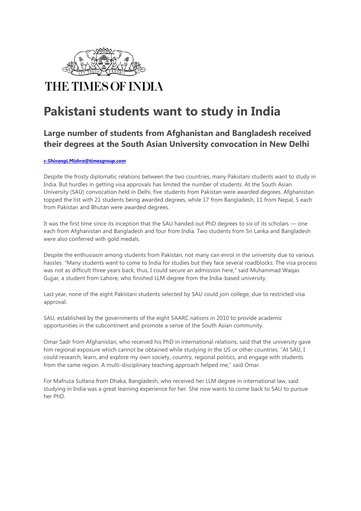

## **Pakistani students want to study in India**

## **Large number of students from Afghanistan and Bangladesh received their degrees at the South Asian University convocation in New Delhi**

## *c-Shivangi.Mishra@timesgroup.com*

Despite the frosty diplomatic relations between the two countries, many Pakistani students want to study in India. But hurdles in getting visa approvals has limited the number of students. At the South Asian University (SAU) convocation held in Delhi, five students from Pakistan were awarded degrees. Afghanistan topped the list with 21 students being awarded degrees, while 17 from Bangladesh, 11 from Nepal, 5 each from Pakistan and Bhutan were awarded degrees.

It was the first time since its inception that the SAU handed out PhD degrees to six of its scholars — one each from Afghanistan and Bangladesh and four from India. Two students from Sri Lanka and Bangladesh were also conferred with gold medals.

Despite the enthusiasm among students from Pakistan, not many can enrol in the university due to various hassles. "Many students want to come to India for studies but they face several roadblocks. The visa process was not as difficult three years back, thus, I could secure an admission here," said Muhammad Waqas Gujjar, a student from Lahore, who finished LLM degree from the India-based university.

Last year, none of the eight Pakistani students selected by SAU could join college, due to restricted visa approval.

SAU, established by the governments of the eight SAARC nations in 2010 to provide academic opportunities in the subcontinent and promote a sense of the South Asian community.

Omar Sadr from Afghanistan, who received his PhD in international relations, said that the university gave him regional exposure which cannot be obtained while studying in the US or other countries. "At SAU, I could research, learn, and explore my own society, country, regional politics, and engage with students from the same region. A multi-disciplinary teaching approach helped me," said Omar.

For Mafruza Sultana from Dhaka, Bangladesh, who received her LLM degree in international law, said studying in India was a great learning experience for her. She now wants to come back to SAU to pursue her PhD.